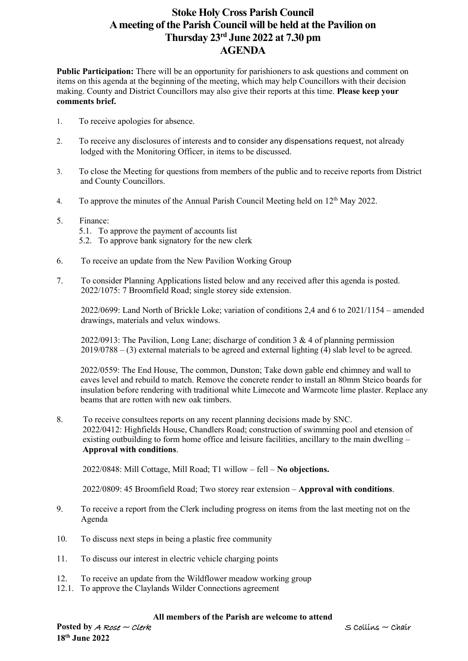## **Stoke Holy Cross Parish Council A meeting of the Parish Council will be held at the Pavilion on Thursday 23rd June 2022 at 7.30 pm AGENDA**

**Public Participation:** There will be an opportunity for parishioners to ask questions and comment on items on this agenda at the beginning of the meeting, which may help Councillors with their decision making. County and District Councillors may also give their reports at this time. **Please keep your comments brief.**

- 1. To receive apologies for absence.
- 2. To receive any disclosures of interests and to consider any dispensations request, not already lodged with the Monitoring Officer, in items to be discussed.
- 3. To close the Meeting for questions from members of the public and to receive reports from District and County Councillors.
- 4. To approve the minutes of the Annual Parish Council Meeting held on 12<sup>th</sup> May 2022.
- 5. Finance:
	- 5.1. To approve the payment of accounts list
	- 5.2. To approve bank signatory for the new clerk
- 6. To receive an update from the New Pavilion Working Group
- 7. To consider Planning Applications listed below and any received after this agenda is posted. 2022/1075: 7 Broomfield Road; single storey side extension.

 2022/0699: Land North of Brickle Loke; variation of conditions 2,4 and 6 to 2021/1154 – amended drawings, materials and velux windows.

2022/0913: The Pavilion, Long Lane; discharge of condition 3 & 4 of planning permission 2019/0788 – (3) external materials to be agreed and external lighting (4) slab level to be agreed.

 2022/0559: The End House, The common, Dunston; Take down gable end chimney and wall to eaves level and rebuild to match. Remove the concrete render to install an 80mm Steico boards for insulation before rendering with traditional white Limecote and Warmcote lime plaster. Replace any beams that are rotten with new oak timbers.

8. To receive consultees reports on any recent planning decisions made by SNC. 2022/0412: Highfields House, Chandlers Road; construction of swimming pool and etension of existing outbuilding to form home office and leisure facilities, ancillary to the main dwelling – **Approval with conditions**.

2022/0848: Mill Cottage, Mill Road; T1 willow – fell – **No objections.**

2022/0809: 45 Broomfield Road; Two storey rear extension – **Approval with conditions**.

- 9. To receive a report from the Clerk including progress on items from the last meeting not on the Agenda
- 10. To discuss next steps in being a plastic free community
- 11. To discuss our interest in electric vehicle charging points
- 12. To receive an update from the Wildflower meadow working group
- 12.1. To approve the Claylands Wilder Connections agreement